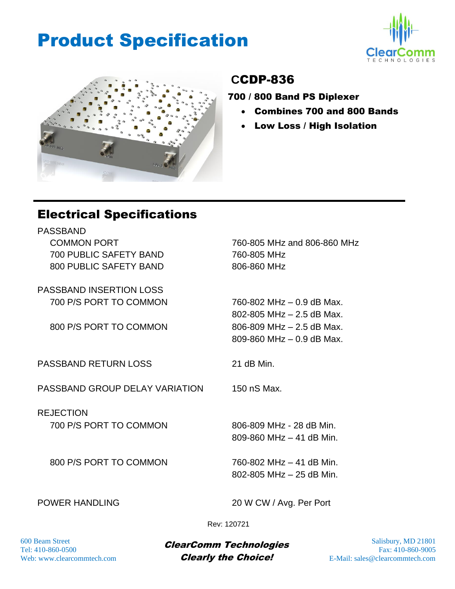## Product Specification





#### **C**CDP-836

700 / 800 Band PS Diplexer

- Combines 700 and 800 Bands
- Low Loss / High Isolation

#### Electrical Specifications

PASSBAND COMMON PORT 700 PUBLIC SAFETY BAND 800 PUBLIC SAFETY BAND

PASSBAND INSERTION LOSS 700 P/S PORT TO COMMON

800 P/S PORT TO COMMON

PASSBAND RETURN LOSS 21 dB Min.

PASSBAND GROUP DELAY VARIATION 150 nS Max.

**REJECTION** 700 P/S PORT TO COMMON

800 P/S PORT TO COMMON

760-805 MHz and 806-860 MHz 760-805 MHz 806-860 MHz

760-802 MHz – 0.9 dB Max. 802-805 MHz – 2.5 dB Max. 806-809 MHz – 2.5 dB Max. 809-860 MHz – 0.9 dB Max.

806-809 MHz - 28 dB Min. 809-860 MHz – 41 dB Min.

760-802 MHz – 41 dB Min. 802-805 MHz – 25 dB Min.

POWER HANDLING 20 W CW / Avg. Per Port

Rev: 120721

 $\frac{600 \text{ Beam Street}}{500 \text{ Bean Street}}$  Salisbury, MD 21801 Tel:  $410-860-0500$  Fax:  $410-860-9005$ Web: www.clearcommtech.com **Clearly the Choice!** E-Mail: sales @clearcommtech.com Clearly the Choice!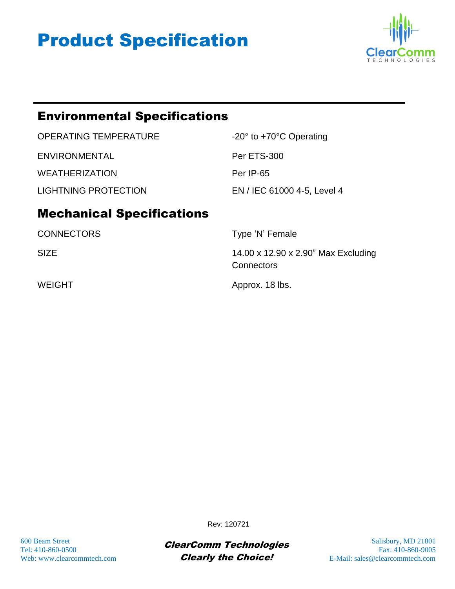# Product Specification



#### Environmental Specifications

| OPERATING TEMPERATURE | $-20^\circ$ to $+70^\circ$ C Operating |
|-----------------------|----------------------------------------|
| ENVIRONMENTAL         | Per ETS-300                            |
| <b>WEATHERIZATION</b> | Per IP-65                              |
| LIGHTNING PROTECTION  | EN / IEC 61000 4-5, Level 4            |

### Mechanical Specifications

| <b>CONNECTORS</b> | Type 'N' Female                                   |
|-------------------|---------------------------------------------------|
| <b>SIZE</b>       | 14.00 x 12.90 x 2.90" Max Excluding<br>Connectors |
| <b>WEIGHT</b>     | Approx. 18 lbs.                                   |

600 Beam Street **Salisbury, MD 21801** Close Class Class Control Control Control Control Control Control Control Control Control Control Control Control Control Control Control Control Control Control Control Control Contro  $ClearComm$   $Technologies$  Frace  $Fax: 410-860-0500$  Fax: 410-860-9005 Web: www.clearcommtech.com **Clearly the Choice!** E-Mail: sales @clearcommtech.com Clearly the Choice!